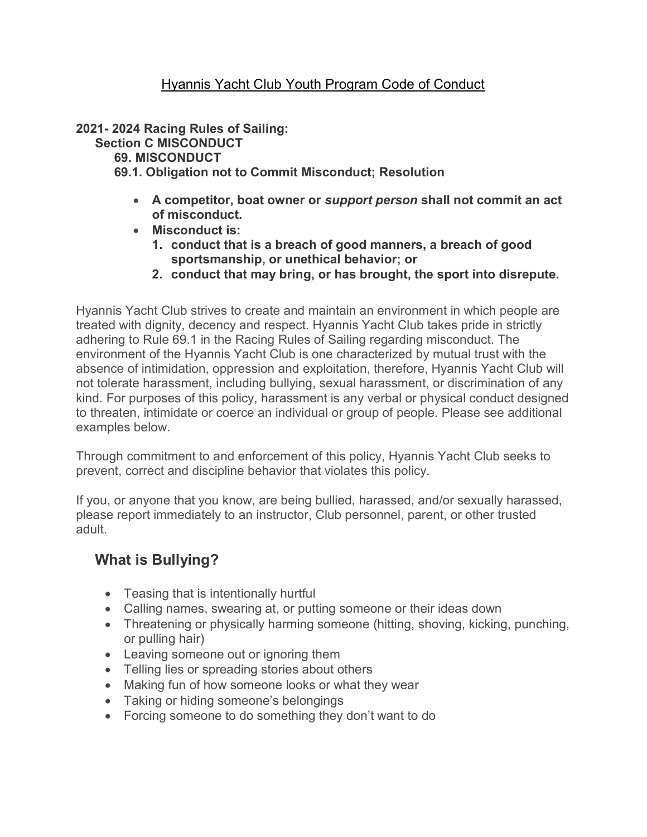#### Hyannis Yacht Club Youth Program Code of Conduct

2021- 2024 Racing Rules of Sailing:

Section C MISCONDUCT

69. MISCONDUCT

#### 69.1. Obligation not to Commit Misconduct; Resolution

- A competitor, boat owner or support person shall not commit an act of misconduct.
- Misconduct is:
	- 1. conduct that is a breach of good manners, a breach of good sportsmanship, or unethical behavior; or
	- 2. conduct that may bring, or has brought, the sport into disrepute.

Hyannis Yacht Club strives to create and maintain an environment in which people are treated with dignity, decency and respect. Hyannis Yacht Club takes pride in strictly adhering to Rule 69.1 in the Racing Rules of Sailing regarding misconduct. The environment of the Hyannis Yacht Club is one characterized by mutual trust with the absence of intimidation, oppression and exploitation, therefore, Hyannis Yacht Club will not tolerate harassment, including bullying, sexual harassment, or discrimination of any kind. For purposes of this policy, harassment is any verbal or physical conduct designed to threaten, intimidate or coerce an individual or group of people. Please see additional examples below.

Through commitment to and enforcement of this policy, Hyannis Yacht Club seeks to prevent, correct and discipline behavior that violates this policy.

If you, or anyone that you know, are being bullied, harassed, and/or sexually harassed, please report immediately to an instructor, Club personnel, parent, or other trusted adult.

# What is Bullying?

- Teasing that is intentionally hurtful
- Calling names, swearing at, or putting someone or their ideas down
- Threatening or physically harming someone (hitting, shoving, kicking, punching, or pulling hair)
- Leaving someone out or ignoring them
- Telling lies or spreading stories about others
- Making fun of how someone looks or what they wear
- Taking or hiding someone's belongings
- Forcing someone to do something they don't want to do